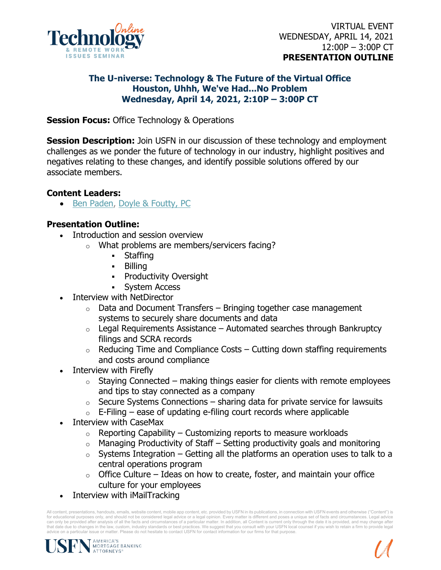

### **The U-niverse: Technology & The Future of the Virtual Office Houston, Uhhh, We've Had...No Problem Wednesday, April 14, 2021, 2:10P – 3:00P CT**

**Session Focus:** Office Technology & Operations

**Session Description:** Join USFN in our discussion of these technology and employment challenges as we ponder the future of technology in our industry, highlight positives and negatives relating to these changes, and identify possible solutions offered by our associate members.

# **Content Leaders:**

• [Ben Paden,](https://www.linkedin.com/in/benjamin-paden-a5419157/) [Doyle & Foutty, PC](https://www.linkedin.com/company/doyle-&-foutty-p.c./about/)

# **Presentation Outline:**

- Introduction and session overview
	- o What problems are members/servicers facing?
		- Staffing
		- **Billing**
		- **Productivity Oversight**
		- **System Access**
- Interview with NetDirector
	- $\circ$  Data and Document Transfers Bringing together case management systems to securely share documents and data
	- $\circ$  Legal Requirements Assistance Automated searches through Bankruptcy filings and SCRA records
	- $\circ$  Reducing Time and Compliance Costs Cutting down staffing requirements and costs around compliance
- Interview with Firefly
	- $\circ$  Staying Connected making things easier for clients with remote employees and tips to stay connected as a company
	- $\circ$  Secure Systems Connections sharing data for private service for lawsuits
	- $\circ$  E-Filing ease of updating e-filing court records where applicable
- Interview with CaseMax
	- $\circ$  Reporting Capability Customizing reports to measure workloads
	- $\circ$  Managing Productivity of Staff Setting productivity goals and monitoring
	- $\circ$  Systems Integration Getting all the platforms an operation uses to talk to a central operations program
	- $\circ$  Office Culture Ideas on how to create, foster, and maintain your office culture for your employees
- Interview with iMailTracking

All content, presentations, handouts, emails, website content, mobile app content, etc. provided by USFN in its publications, in connection with USFN events and otherwise ("Content") is for educational purposes only, and should not be considered legal advice or a legal opinion. Every matter is different and poses a unique set of facts and circumstances. Legal advice can only be provided after analysis of all the facts and circumstances of a particular matter. In addition, all Content is current only through the date it is provided, and may change after<br>that date due to changes in the advice on a particular issue or matter. Please do not hesitate to contact USFN for contact information for our firms for that purpose.